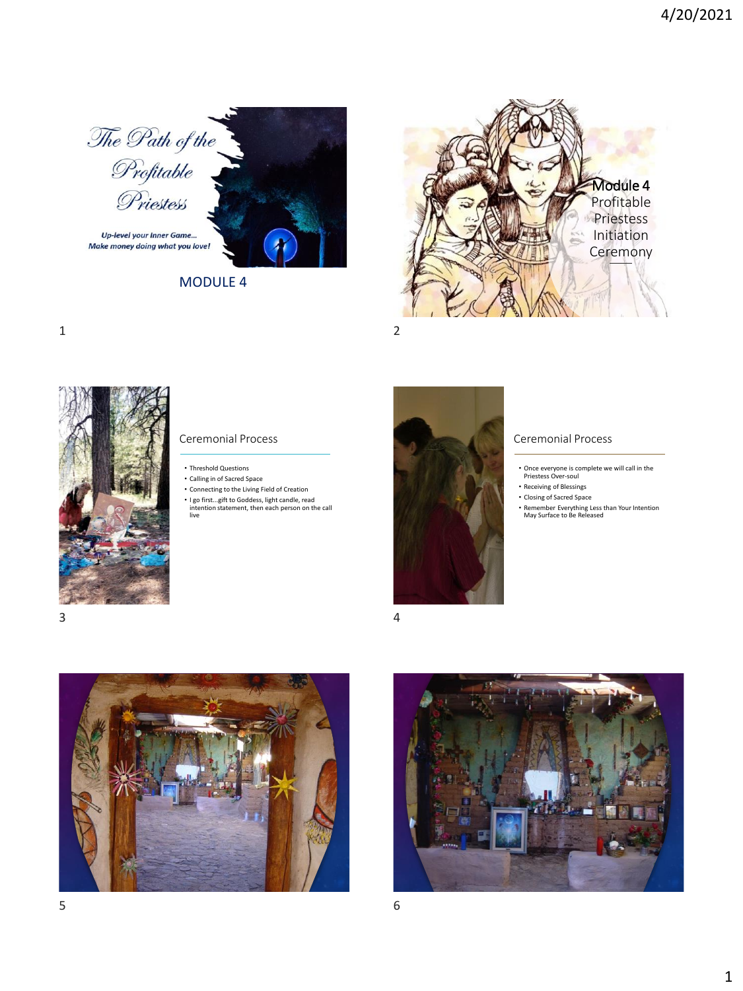





1 2



Ceremonial Process

- Threshold Questions
- Calling in of Sacred Space
- Connecting to the Living Field of Creation
- I go first...gift to Goddess, light candle, read intention statement, then each person on the call live



## Ceremonial Process

- Once everyone is complete we will call in the Priestess Over-soul
- Receiving of Blessings
- Closing of Sacred Space
	- Remember Everything Less than Your Intention May Surface to Be Released





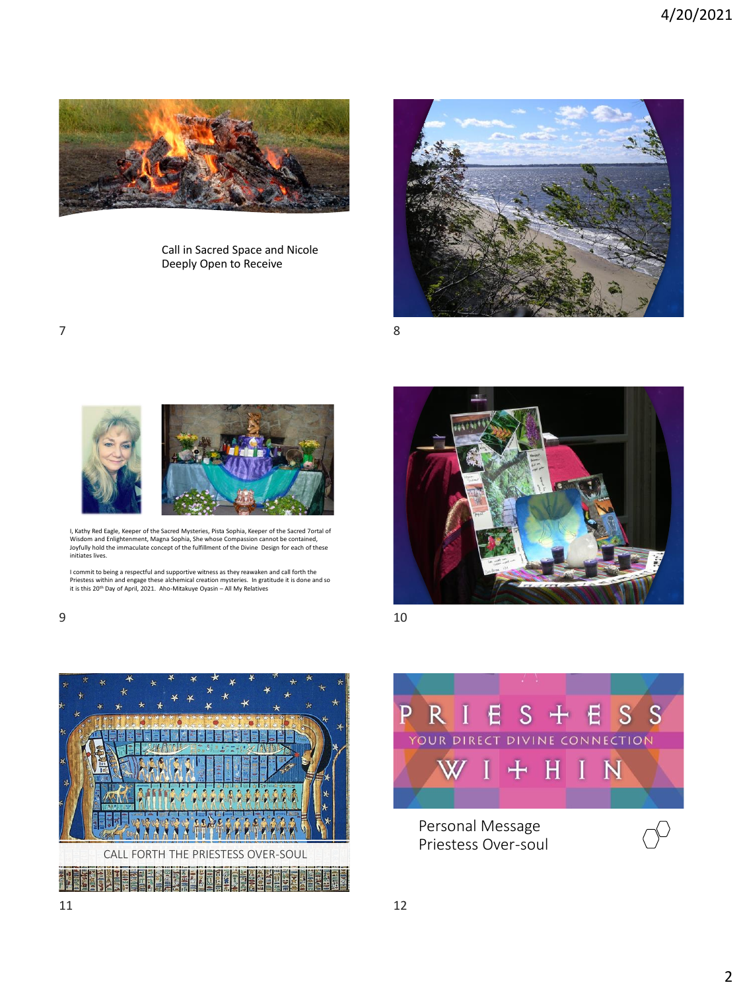

Call in Sacred Space and Nicole Deeply Open to Receive



 $7$  8



I, Kathy Red Eagle, Keeper of the Sacred Mysteries, Pista Sophia, Keeper of the Sacred 7ortal of Wisdom and Enlightenment, Magna Sophia, She whose Compassion cannot be contained,<br>Joyfully hold the immaculate concept of the fulfillment of the Divine Design for each of these<br>Initiates lives.

I commit to being a respectful and supportive witness as they reawaken and call forth the<br>Priestess within and engage these alchemical creation mysteries. In gratitude it is done and so<br>it is this 20™ Day of April, 2021.



 $9$  10



 $S + E$ PRIE S S YOUR DIRECT DIVINE CONNECTION + H I N  $\circlearrowleft$ 

Personal Message Priestess Over-soul